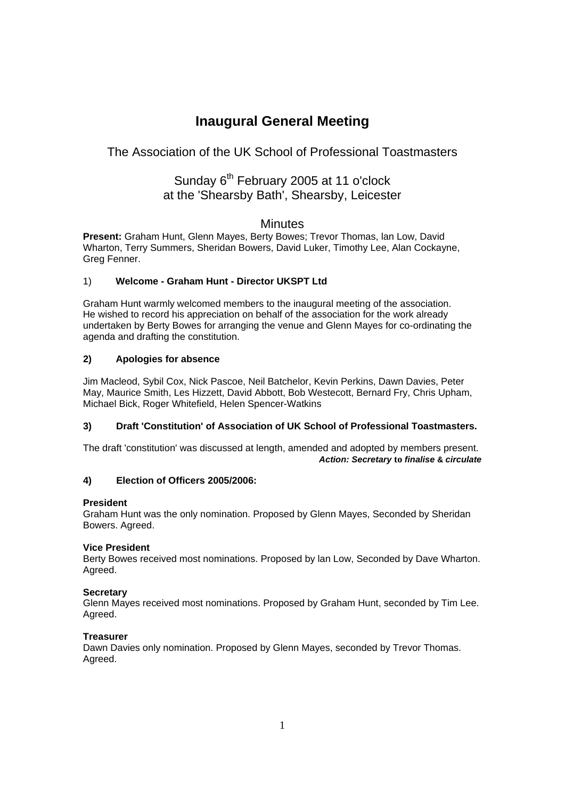# **Inaugural General Meeting**

## The Association of the UK School of Professional Toastmasters

## Sunday 6<sup>th</sup> February 2005 at 11 o'clock at the 'Shearsby Bath', Shearsby, Leicester

## **Minutes**

**Present:** Graham Hunt, Glenn Mayes, Berty Bowes; Trevor Thomas, lan Low, David Wharton, Terry Summers, Sheridan Bowers, David Luker, Timothy Lee, Alan Cockayne, Greg Fenner.

### 1) **Welcome - Graham Hunt - Director UKSPT Ltd**

Graham Hunt warmly welcomed members to the inaugural meeting of the association. He wished to record his appreciation on behalf of the association for the work already undertaken by Berty Bowes for arranging the venue and Glenn Mayes for co-ordinating the agenda and drafting the constitution.

### **2) Apologies for absence**

Jim Macleod, Sybil Cox, Nick Pascoe, Neil Batchelor, Kevin Perkins, Dawn Davies, Peter May, Maurice Smith, Les Hizzett, David Abbott, Bob Westecott, Bernard Fry, Chris Upham, Michael Bick, Roger Whitefield, Helen Spencer-Watkins

#### **3) Draft 'Constitution' of Association of UK School of Professional Toastmasters.**

The draft 'constitution' was discussed at length, amended and adopted by members present. *Action: Secretary* **to** *finalise* **&** *circulate* 

## **4) Election of Officers 2005/2006:**

#### **President**

Graham Hunt was the only nomination. Proposed by Glenn Mayes, Seconded by Sheridan Bowers. Agreed.

#### **Vice President**

Berty Bowes received most nominations. Proposed by lan Low, Seconded by Dave Wharton. Agreed.

#### **Secretary**

Glenn Mayes received most nominations. Proposed by Graham Hunt, seconded by Tim Lee. Agreed.

#### **Treasurer**

Dawn Davies only nomination. Proposed by Glenn Mayes, seconded by Trevor Thomas. Agreed.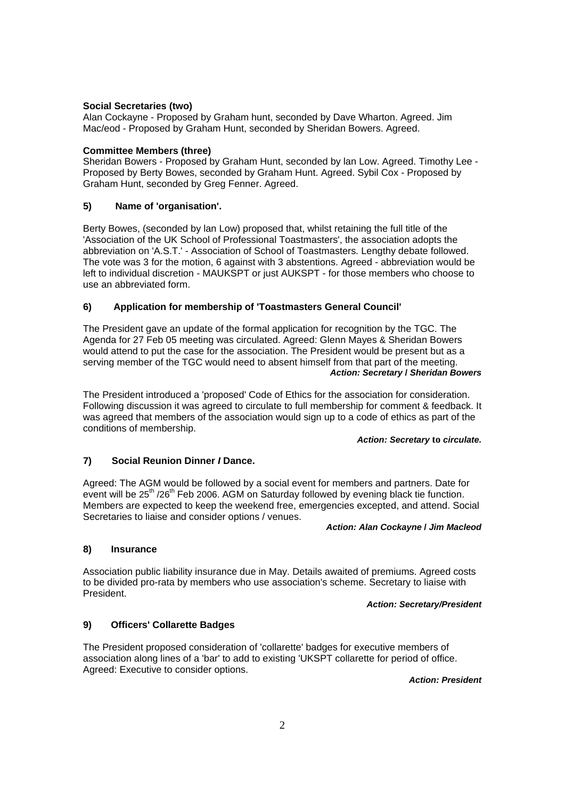#### **Social Secretaries (two)**

Alan Cockayne - Proposed by Graham hunt, seconded by Dave Wharton. Agreed. Jim Mac/eod - Proposed by Graham Hunt, seconded by Sheridan Bowers. Agreed.

#### **Committee Members (three)**

Sheridan Bowers - Proposed by Graham Hunt, seconded by lan Low. Agreed. Timothy Lee - Proposed by Berty Bowes, seconded by Graham Hunt. Agreed. Sybil Cox - Proposed by Graham Hunt, seconded by Greg Fenner. Agreed.

#### **5) Name of 'organisation'.**

Berty Bowes, (seconded by lan Low) proposed that, whilst retaining the full title of the 'Association of the UK School of Professional Toastmasters', the association adopts the abbreviation on 'A.S.T.' - Association of School of Toastmasters. Lengthy debate followed. The vote was 3 for the motion, 6 against with 3 abstentions. Agreed - abbreviation would be left to individual discretion - MAUKSPT or just AUKSPT - for those members who choose to use an abbreviated form.

#### **6) Application for membership of 'Toastmasters General Council'**

The President gave an update of the formal application for recognition by the TGC. The Agenda for 27 Feb 05 meeting was circulated. Agreed: Glenn Mayes & Sheridan Bowers would attend to put the case for the association. The President would be present but as a serving member of the TGC would need to absent himself from that part of the meeting. *Action: Secretary* **/** *Sheridan Bowers* 

The President introduced a 'proposed' Code of Ethics for the association for consideration. Following discussion it was agreed to circulate to full membership for comment & feedback. It was agreed that members of the association would sign up to a code of ethics as part of the conditions of membership.

#### *Action: Secretary* **to** *circulate.*

#### **7) Social Reunion Dinner** *I* **Dance.**

Agreed: The AGM would be followed by a social event for members and partners. Date for event will be 25<sup>th</sup> /26<sup>th</sup> Feb 2006. AGM on Saturday followed by evening black tie function. Members are expected to keep the weekend free, emergencies excepted, and attend. Social Secretaries to liaise and consider options / venues.

#### *Action: Alan Cockayne* **/** *Jim Macleod*

#### **8) Insurance**

Association public liability insurance due in May. Details awaited of premiums. Agreed costs to be divided pro-rata by members who use association's scheme. Secretary to liaise with President.

*Action: Secretary/President* 

#### **9) Officers' Collarette Badges**

The President proposed consideration of 'collarette' badges for executive members of association along lines of a 'bar' to add to existing 'UKSPT collarette for period of office. Agreed: Executive to consider options.

*Action: President*